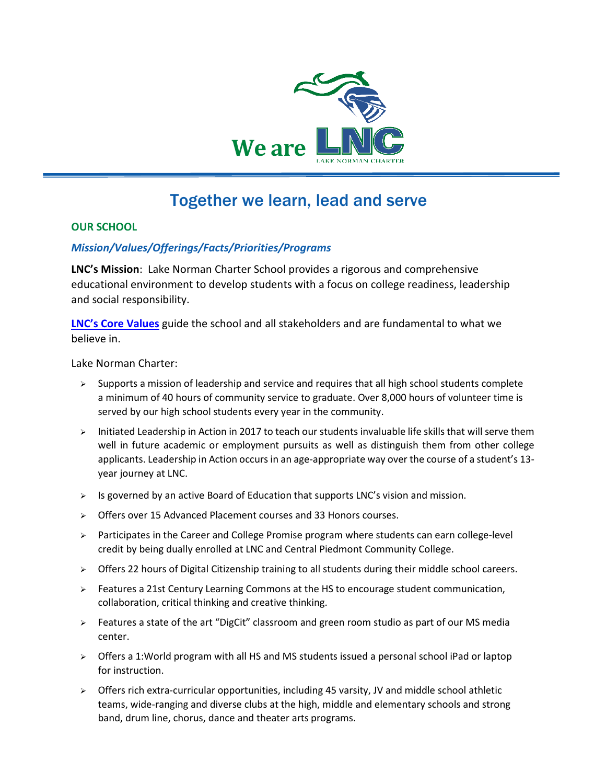

### Together we learn, lead and serve

#### **OUR SCHOOL**

#### *Mission/Values/Offerings/Facts/Priorities/Programs*

**LNC's Mission**: Lake Norman Charter School provides a rigorous and comprehensive educational environment to develop students with a focus on college readiness, leadership and social responsibility.

**[LNC's Core Values](https://www.lncharter.org/Page/61)** guide the school and all stakeholders and are fundamental to what we believe in.

Lake Norman Charter:

- $\triangleright$  Supports a mission of leadership and service and requires that all high school students complete a minimum of 40 hours of community service to graduate. Over 8,000 hours of volunteer time is served by our high school students every year in the community.
- $\triangleright$  Initiated Leadership in Action in 2017 to teach our students invaluable life skills that will serve them well in future academic or employment pursuits as well as distinguish them from other college applicants. Leadership in Action occurs in an age-appropriate way over the course of a student's 13 year journey at LNC.
- $\triangleright$  Is governed by an active Board of Education that supports LNC's vision and mission.
- Offers over 15 Advanced Placement courses and 33 Honors courses.
- $\triangleright$  Participates in the Career and College Promise program where students can earn college-level credit by being dually enrolled at LNC and Central Piedmont Community College.
- $\triangleright$  Offers 22 hours of Digital Citizenship training to all students during their middle school careers.
- ▶ Features a 21st Century Learning Commons at the HS to encourage student communication, collaboration, critical thinking and creative thinking.
- $\triangleright$  Features a state of the art "DigCit" classroom and green room studio as part of our MS media center.
- $\triangleright$  Offers a 1: World program with all HS and MS students issued a personal school iPad or laptop for instruction.
- $\triangleright$  Offers rich extra-curricular opportunities, including 45 varsity, JV and middle school athletic teams, wide-ranging and diverse clubs at the high, middle and elementary schools and strong band, drum line, chorus, dance and theater arts programs.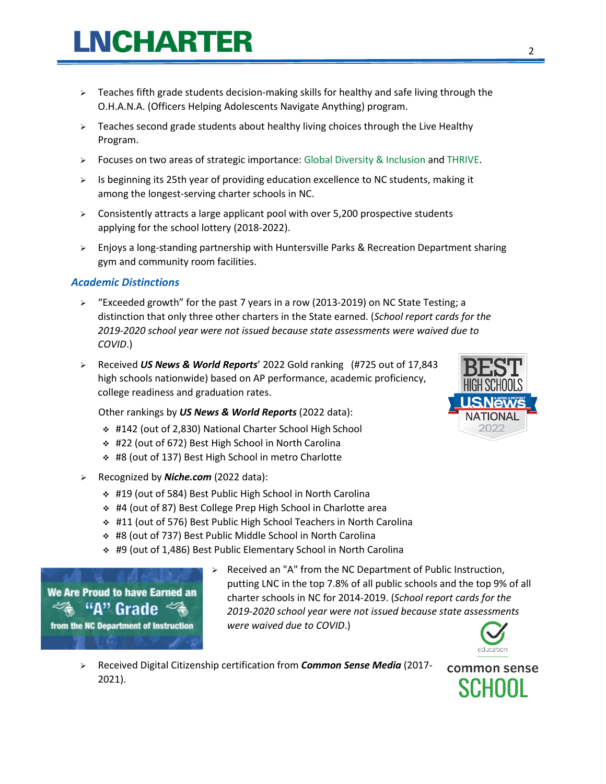- $\triangleright$  Teaches fifth grade students decision-making skills for healthy and safe living through the O.H.A.N.A. (Officers Helping Adolescents Navigate Anything) program.
- $\triangleright$  Teaches second grade students about healthy living choices through the Live Healthy Program.
- $\triangleright$  Focuses on two areas of strategic importance: Global Diversity & Inclusion and THRIVE.
- $\triangleright$  Is beginning its 25th year of providing education excellence to NC students, making it among the longest-serving charter schools in NC.
- $\triangleright$  Consistently attracts a large applicant pool with over 5,200 prospective students applying for the school lottery (2018-2022).
- $\triangleright$  Enjoys a long-standing partnership with Huntersville Parks & Recreation Department sharing gym and community room facilities.

#### *Academic Distinctions*

- $\triangleright$  "Exceeded growth" for the past 7 years in a row (2013-2019) on NC State Testing; a distinction that only three other charters in the State earned. (*School report cards for the 2019-2020 school year were not issued because state assessments were waived due to COVID*.)
- Received *US News & World Reports*' 2022 Gold ranking (#725 out of 17,843 high schools nationwide) based on AP performance, academic proficiency, college readiness and graduation rates.

Other rankings by *US News & World Reports* (2022 data):

- #142 (out of 2,830) National Charter School High School
- #22 (out of 672) Best High School in North Carolina
- #8 (out of 137) Best High School in metro Charlotte
- Recognized by *Niche.com* (2022 data):
	- #19 (out of 584) Best Public High School in North Carolina
	- #4 (out of 87) Best College Prep High School in Charlotte area
	- #11 (out of 576) Best Public High School Teachers in North Carolina
	- #8 (out of 737) Best Public Middle School in North Carolina
	- #9 (out of 1,486) Best Public Elementary School in North Carolina

We Are Proud to have Earned an "A" Grade from the NC Department of Instruction

 $\triangleright$  Received an "A" from the NC Department of Public Instruction, putting LNC in the top 7.8% of all public schools and the top 9% of all charter schools in NC for 2014-2019. (*School report cards for the 2019-2020 school year were not issued because state assessments were waived due to COVID*.)



 Received Digital Citizenship certification from *Common Sense Media* (2017 common sense 2021).**SCHOOL** 

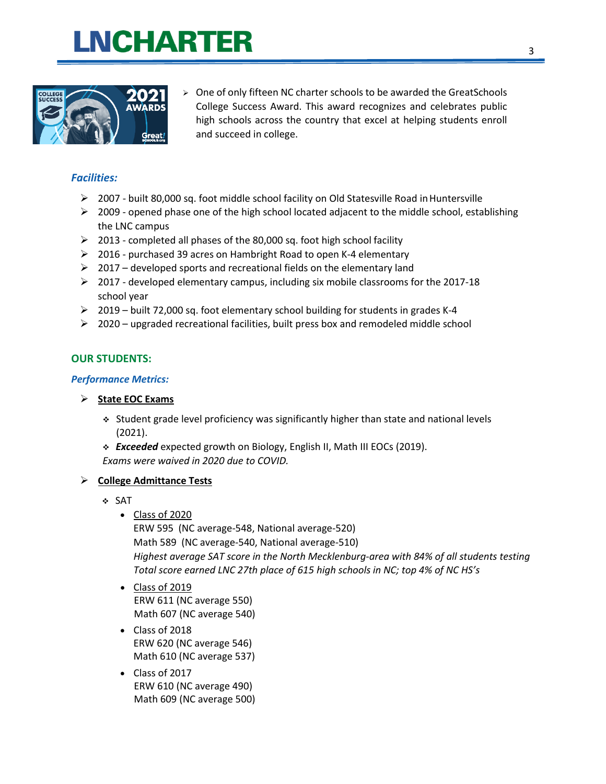

 $\geq$  One of only fifteen NC charter schools to be awarded the GreatSchools College Success Award. This award recognizes and celebrates public high schools across the country that excel at helping students enroll and succeed in college.

#### *Facilities:*

- $\geq 2007$  built 80,000 sq. foot middle school facility on Old Statesville Road in Huntersville
- $\triangleright$  2009 opened phase one of the high school located adjacent to the middle school, establishing the LNC campus
- $\geq$  2013 completed all phases of the 80,000 sq. foot high school facility
- $\geq$  2016 purchased 39 acres on Hambright Road to open K-4 elementary
- $\geq$  2017 developed sports and recreational fields on the elementary land
- $\geq 2017$  developed elementary campus, including six mobile classrooms for the 2017-18 school year
- $\geq 2019$  built 72,000 sq. foot elementary school building for students in grades K-4
- $\geq 2020$  upgraded recreational facilities, built press box and remodeled middle school

#### **OUR STUDENTS:**

#### *Performance Metrics:*

- **State EOC Exams**
	- $\div$  Student grade level proficiency was significantly higher than state and national levels (2021).
	- *Exceeded* expected growth on Biology, English II, Math III EOCs (2019). *Exams were waived in 2020 due to COVID.*

#### **College Admittance Tests**

- SAT
	- Class of 2020

ERW 595 (NC average-548, National average-520) Math 589 (NC average-540, National average-510) *Highest average SAT score in the North Mecklenburg-area with 84% of all students testing Total score earned LNC 27th place of 615 high schools in NC; top 4% of NC HS's*

- Class of 2019 ERW 611 (NC average 550) Math 607 (NC average 540)
- Class of 2018 ERW 620 (NC average 546) Math 610 (NC average 537)
- Class of 2017 ERW 610 (NC average 490) Math 609 (NC average 500)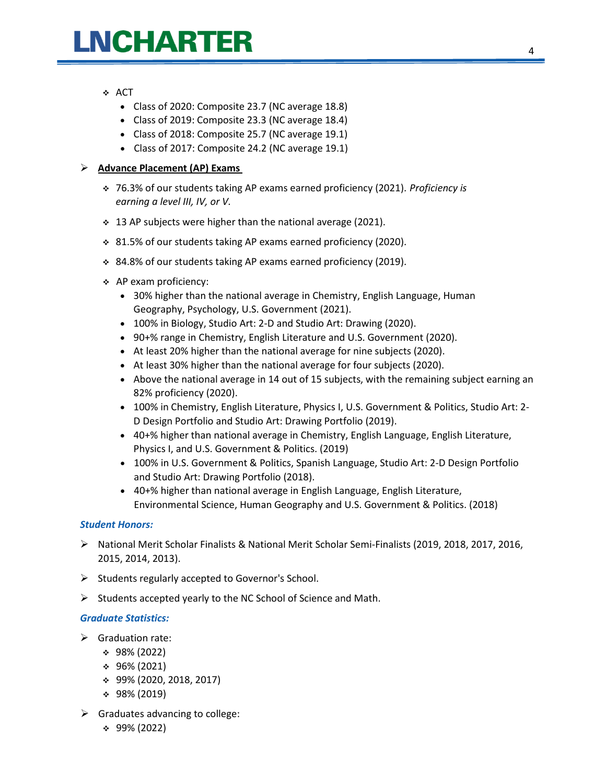#### ❖ ACT

- Class of 2020: Composite 23.7 (NC average 18.8)
- Class of 2019: Composite 23.3 (NC average 18.4)
- Class of 2018: Composite 25.7 (NC average 19.1)
- Class of 2017: Composite 24.2 (NC average 19.1)

#### **Advance Placement (AP) Exams**

- 76.3% of our students taking AP exams earned proficiency (2021). *Proficiency is earning a level III, IV, or V.*
- 13 AP subjects were higher than the national average (2021).
- 81.5% of our students taking AP exams earned proficiency (2020).
- 84.8% of our students taking AP exams earned proficiency (2019).
- $\div$  AP exam proficiency:
	- 30% higher than the national average in Chemistry, English Language, Human Geography, Psychology, U.S. Government (2021).
	- 100% in Biology, Studio Art: 2-D and Studio Art: Drawing (2020).
	- 90+% range in Chemistry, English Literature and U.S. Government (2020).
	- At least 20% higher than the national average for nine subjects (2020).
	- At least 30% higher than the national average for four subjects (2020).
	- Above the national average in 14 out of 15 subjects, with the remaining subject earning an 82% proficiency (2020).
	- 100% in Chemistry, English Literature, Physics I, U.S. Government & Politics, Studio Art: 2- D Design Portfolio and Studio Art: Drawing Portfolio (2019).
	- 40+% higher than national average in Chemistry, English Language, English Literature, Physics I, and U.S. Government & Politics. (2019)
	- 100% in U.S. Government & Politics, Spanish Language, Studio Art: 2-D Design Portfolio and Studio Art: Drawing Portfolio (2018).
	- 40+% higher than national average in English Language, English Literature, Environmental Science, Human Geography and U.S. Government & Politics. (2018)

#### *Student Honors:*

- National Merit Scholar Finalists & National Merit Scholar Semi-Finalists (2019, 2018, 2017, 2016, 2015, 2014, 2013).
- $\triangleright$  Students regularly accepted to Governor's School.
- $\triangleright$  Students accepted yearly to the NC School of Science and Math.

#### *Graduate Statistics:*

- $\triangleright$  Graduation rate:
	- 98% (2022)
	- $\div$  96% (2021)
	- 99% (2020, 2018, 2017)
	- $\div$  98% (2019)
- $\triangleright$  Graduates advancing to college:
	- 99% (2022)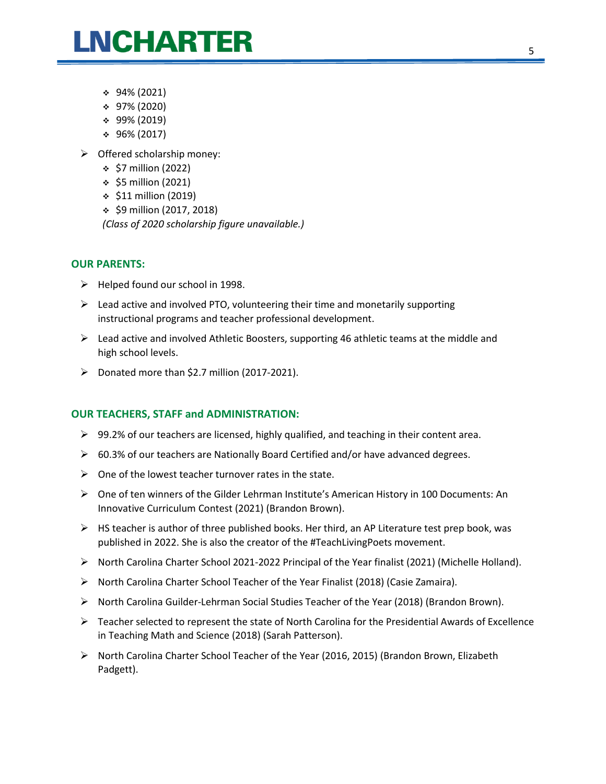- 94% (2021)
- $\div$  97% (2020)
- 99% (2019)
- 96% (2017)
- $\triangleright$  Offered scholarship money:
	- $\div$  \$7 million (2022)
	- $\div$  \$5 million (2021)
	- $\div$  \$11 million (2019)
	- $\div$  \$9 million (2017, 2018)

*(Class of 2020 scholarship figure unavailable.)*

#### **OUR PARENTS:**

- $\triangleright$  Helped found our school in 1998.
- $\triangleright$  Lead active and involved PTO, volunteering their time and monetarily supporting instructional programs and teacher professional development.
- $\triangleright$  Lead active and involved Athletic Boosters, supporting 46 athletic teams at the middle and high school levels.
- $\triangleright$  Donated more than \$2.7 million (2017-2021).

#### **OUR TEACHERS, STAFF and ADMINISTRATION:**

- $\triangleright$  99.2% of our teachers are licensed, highly qualified, and teaching in their content area.
- $\triangleright$  60.3% of our teachers are Nationally Board Certified and/or have advanced degrees.
- $\triangleright$  One of the lowest teacher turnover rates in the state.
- One of ten winners of the Gilder Lehrman Institute's American History in 100 Documents: An Innovative Curriculum Contest (2021) (Brandon Brown).
- $\triangleright$  HS teacher is author of three published books. Her third, an AP Literature test prep book, was published in 2022. She is also the creator of the #TeachLivingPoets movement.
- $\triangleright$  North Carolina Charter School 2021-2022 Principal of the Year finalist (2021) (Michelle Holland).
- $\triangleright$  North Carolina Charter School Teacher of the Year Finalist (2018) (Casie Zamaira).
- $\triangleright$  North Carolina Guilder-Lehrman Social Studies Teacher of the Year (2018) (Brandon Brown).
- $\triangleright$  Teacher selected to represent the state of North Carolina for the Presidential Awards of Excellence in Teaching Math and Science (2018) (Sarah Patterson).
- $\triangleright$  North Carolina Charter School Teacher of the Year (2016, 2015) (Brandon Brown, Elizabeth Padgett).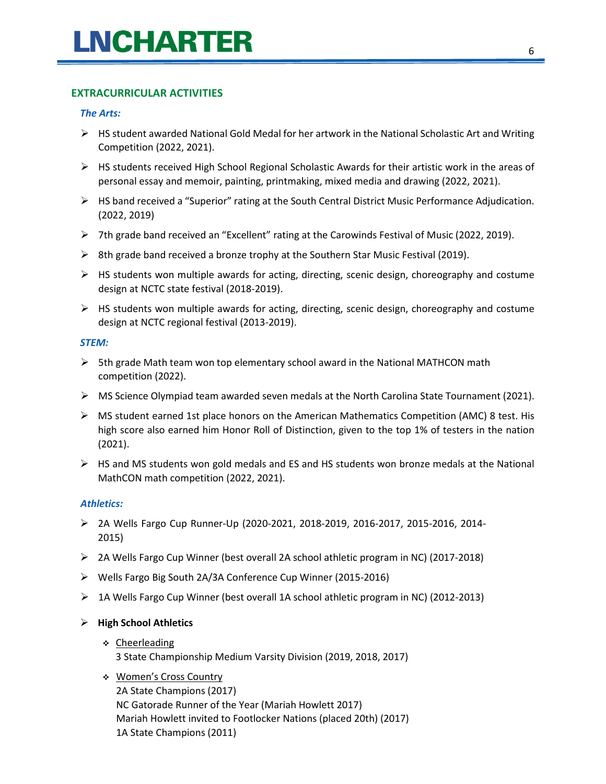#### **EXTRACURRICULAR ACTIVITIES**

#### *The Arts:*

- $\triangleright$  HS student awarded National Gold Medal for her artwork in the National Scholastic Art and Writing Competition (2022, 2021).
- $\triangleright$  HS students received High School Regional Scholastic Awards for their artistic work in the areas of personal essay and memoir, painting, printmaking, mixed media and drawing (2022, 2021).
- $\triangleright$  HS band received a "Superior" rating at the South Central District Music Performance Adjudication. (2022, 2019)
- $\triangleright$  7th grade band received an "Excellent" rating at the Carowinds Festival of Music (2022, 2019).
- $\triangleright$  8th grade band received a bronze trophy at the Southern Star Music Festival (2019).
- $\triangleright$  HS students won multiple awards for acting, directing, scenic design, choreography and costume design at NCTC state festival (2018-2019).
- $\triangleright$  HS students won multiple awards for acting, directing, scenic design, choreography and costume design at NCTC regional festival (2013-2019).

#### *STEM:*

- $\triangleright$  5th grade Math team won top elementary school award in the National MATHCON math competition (2022).
- $\triangleright$  MS Science Olympiad team awarded seven medals at the North Carolina State Tournament (2021).
- $\triangleright$  MS student earned 1st place honors on the American Mathematics Competition (AMC) 8 test. His high score also earned him Honor Roll of Distinction, given to the top 1% of testers in the nation (2021).
- $\triangleright$  HS and MS students won gold medals and ES and HS students won bronze medals at the National MathCON math competition (2022, 2021).

#### *Athletics:*

- 2A Wells Fargo Cup Runner-Up (2020-2021, 2018-2019, 2016-2017, 2015-2016, 2014- 2015)
- 2A Wells Fargo Cup Winner (best overall 2A school athletic program in NC) (2017-2018)
- Wells Fargo Big South 2A/3A Conference Cup Winner (2015-2016)
- $\triangleright$  1A Wells Fargo Cup Winner (best overall 1A school athletic program in NC) (2012-2013)

#### **High School Athletics**

- ❖ Cheerleading
	- 3 State Championship Medium Varsity Division (2019, 2018, 2017)
- Women's Cross Country 2A State Champions (2017) NC Gatorade Runner of the Year (Mariah Howlett 2017) Mariah Howlett invited to Footlocker Nations (placed 20th) (2017) 1A State Champions (2011)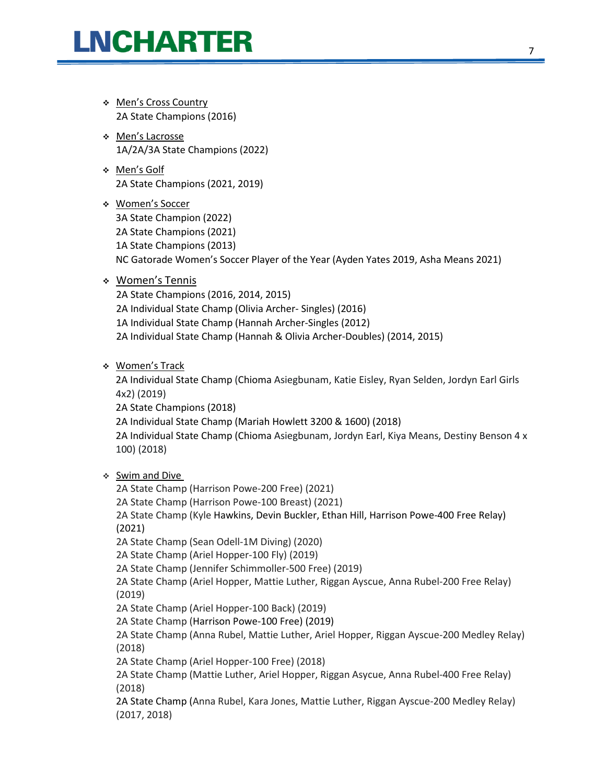- Men's Cross Country 2A State Champions (2016)
- Men's Lacrosse 1A/2A/3A State Champions (2022)
- Men's Golf 2A State Champions (2021, 2019)
- Women's Soccer 3A State Champion (2022) 2A State Champions (2021) 1A State Champions (2013) NC Gatorade Women's Soccer Player of the Year (Ayden Yates 2019, Asha Means 2021)
- Women's Tennis

2A State Champions (2016, 2014, 2015) 2A Individual State Champ (Olivia Archer- Singles) (2016) 1A Individual State Champ (Hannah Archer-Singles (2012) 2A Individual State Champ (Hannah & Olivia Archer-Doubles) (2014, 2015)

\* Women's Track

2A Individual State Champ (Chioma Asiegbunam, Katie Eisley, Ryan Selden, Jordyn Earl Girls 4x2) (2019) 2A State Champions (2018) 2A Individual State Champ (Mariah Howlett 3200 & 1600) (2018) 2A Individual State Champ (Chioma Asiegbunam, Jordyn Earl, Kiya Means, Destiny Benson 4 x 100) (2018)

#### Swim and Dive

2A State Champ (Harrison Powe-200 Free) (2021) 2A State Champ (Harrison Powe-100 Breast) (2021) 2A State Champ (Kyle Hawkins, Devin Buckler, Ethan Hill, Harrison Powe-400 Free Relay) (2021) 2A State Champ (Sean Odell-1M Diving) (2020) 2A State Champ (Ariel Hopper-100 Fly) (2019) 2A State Champ (Jennifer Schimmoller-500 Free) (2019) 2A State Champ (Ariel Hopper, Mattie Luther, Riggan Ayscue, Anna Rubel-200 Free Relay) (2019) 2A State Champ (Ariel Hopper-100 Back) (2019) 2A State Champ (Harrison Powe-100 Free) (2019) 2A State Champ (Anna Rubel, Mattie Luther, Ariel Hopper, Riggan Ayscue-200 Medley Relay) (2018) 2A State Champ (Ariel Hopper-100 Free) (2018) 2A State Champ (Mattie Luther, Ariel Hopper, Riggan Asycue, Anna Rubel-400 Free Relay) (2018) 2A State Champ (Anna Rubel, Kara Jones, Mattie Luther, Riggan Ayscue-200 Medley Relay) (2017, 2018)